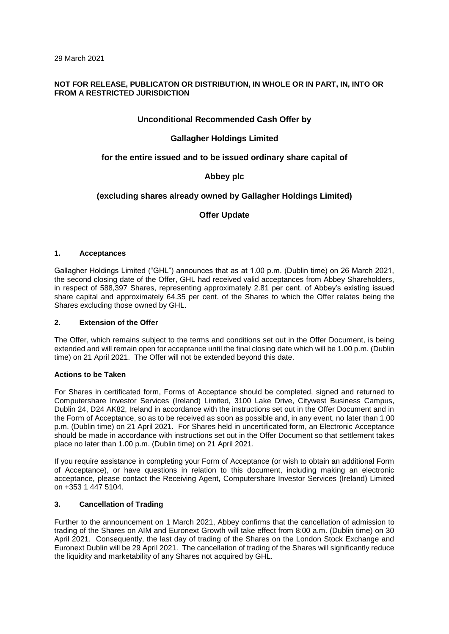## **NOT FOR RELEASE, PUBLICATON OR DISTRIBUTION, IN WHOLE OR IN PART, IN, INTO OR FROM A RESTRICTED JURISDICTION**

## **Unconditional Recommended Cash Offer by**

# **Gallagher Holdings Limited**

## **for the entire issued and to be issued ordinary share capital of**

# **Abbey plc**

# **(excluding shares already owned by Gallagher Holdings Limited)**

**Offer Update** 

## **1. Acceptances**

Gallagher Holdings Limited ("GHL") announces that as at 1.00 p.m. (Dublin time) on 26 March 2021, the second closing date of the Offer, GHL had received valid acceptances from Abbey Shareholders, in respect of 588,397 Shares, representing approximately 2.81 per cent. of Abbey's existing issued share capital and approximately 64.35 per cent. of the Shares to which the Offer relates being the Shares excluding those owned by GHL.

### **2. Extension of the Offer**

The Offer, which remains subject to the terms and conditions set out in the Offer Document, is being extended and will remain open for acceptance until the final closing date which will be 1.00 p.m. (Dublin time) on 21 April 2021. The Offer will not be extended beyond this date.

## **Actions to be Taken**

For Shares in certificated form, Forms of Acceptance should be completed, signed and returned to Computershare Investor Services (Ireland) Limited, 3100 Lake Drive, Citywest Business Campus, Dublin 24, D24 AK82, Ireland in accordance with the instructions set out in the Offer Document and in the Form of Acceptance, so as to be received as soon as possible and, in any event, no later than 1.00 p.m. (Dublin time) on 21 April 2021. For Shares held in uncertificated form, an Electronic Acceptance should be made in accordance with instructions set out in the Offer Document so that settlement takes place no later than 1.00 p.m. (Dublin time) on 21 April 2021.

If you require assistance in completing your Form of Acceptance (or wish to obtain an additional Form of Acceptance), or have questions in relation to this document, including making an electronic acceptance, please contact the Receiving Agent, Computershare Investor Services (Ireland) Limited on +353 1 447 5104.

### **3. Cancellation of Trading**

Further to the announcement on 1 March 2021, Abbey confirms that the cancellation of admission to trading of the Shares on AIM and Euronext Growth will take effect from 8:00 a.m. (Dublin time) on 30 April 2021. Consequently, the last day of trading of the Shares on the London Stock Exchange and Euronext Dublin will be 29 April 2021. The cancellation of trading of the Shares will significantly reduce the liquidity and marketability of any Shares not acquired by GHL.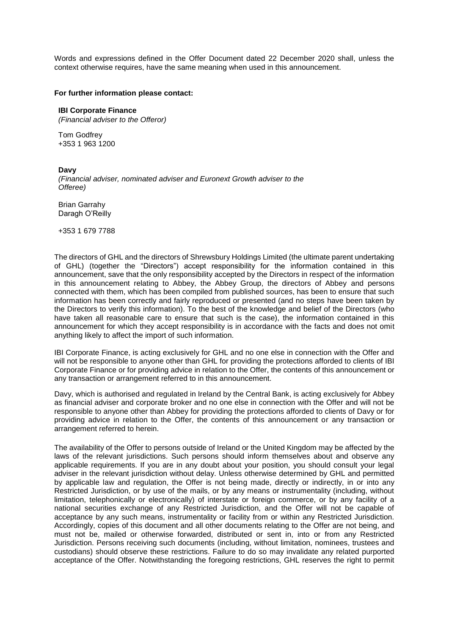Words and expressions defined in the Offer Document dated 22 December 2020 shall, unless the context otherwise requires, have the same meaning when used in this announcement.

### **For further information please contact:**

### **IBI Corporate Finance**

*(Financial adviser to the Offeror)*

Tom Godfrey +353 1 963 1200

#### **Davy**

*(Financial adviser, nominated adviser and Euronext Growth adviser to the Offeree)*

Brian Garrahy Daragh O'Reilly

+353 1 679 7788

The directors of GHL and the directors of Shrewsbury Holdings Limited (the ultimate parent undertaking of GHL) (together the "Directors") accept responsibility for the information contained in this announcement, save that the only responsibility accepted by the Directors in respect of the information in this announcement relating to Abbey, the Abbey Group, the directors of Abbey and persons connected with them, which has been compiled from published sources, has been to ensure that such information has been correctly and fairly reproduced or presented (and no steps have been taken by the Directors to verify this information). To the best of the knowledge and belief of the Directors (who have taken all reasonable care to ensure that such is the case), the information contained in this announcement for which they accept responsibility is in accordance with the facts and does not omit anything likely to affect the import of such information.

IBI Corporate Finance, is acting exclusively for GHL and no one else in connection with the Offer and will not be responsible to anyone other than GHL for providing the protections afforded to clients of IBI Corporate Finance or for providing advice in relation to the Offer, the contents of this announcement or any transaction or arrangement referred to in this announcement.

Davy, which is authorised and regulated in Ireland by the Central Bank, is acting exclusively for Abbey as financial adviser and corporate broker and no one else in connection with the Offer and will not be responsible to anyone other than Abbey for providing the protections afforded to clients of Davy or for providing advice in relation to the Offer, the contents of this announcement or any transaction or arrangement referred to herein.

The availability of the Offer to persons outside of Ireland or the United Kingdom may be affected by the laws of the relevant jurisdictions. Such persons should inform themselves about and observe any applicable requirements. If you are in any doubt about your position, you should consult your legal adviser in the relevant jurisdiction without delay. Unless otherwise determined by GHL and permitted by applicable law and regulation, the Offer is not being made, directly or indirectly, in or into any Restricted Jurisdiction, or by use of the mails, or by any means or instrumentality (including, without limitation, telephonically or electronically) of interstate or foreign commerce, or by any facility of a national securities exchange of any Restricted Jurisdiction, and the Offer will not be capable of acceptance by any such means, instrumentality or facility from or within any Restricted Jurisdiction. Accordingly, copies of this document and all other documents relating to the Offer are not being, and must not be, mailed or otherwise forwarded, distributed or sent in, into or from any Restricted Jurisdiction. Persons receiving such documents (including, without limitation, nominees, trustees and custodians) should observe these restrictions. Failure to do so may invalidate any related purported acceptance of the Offer. Notwithstanding the foregoing restrictions, GHL reserves the right to permit